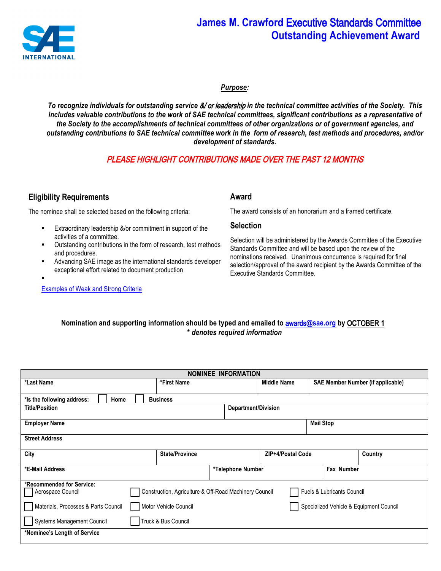

# **James M. Crawford** Executive Standards Committee **Outstanding Achievement Award**

*Purpose:* 

*To recognize individuals for outstanding service* &/ or leadership *in the technical committee activities of the Society. This includes valuable contributions to the work of SAE technical committees, significant contributions as a representative of the Society to the accomplishments of technical committees of other organizations or of government agencies, and outstanding contributions to SAE technical committee work in the form of research, test methods and procedures, and/or development of standards.*

## PLEASE HIGHLIGHT CONTRIBUTIONS MADE OVER THE PAST 12 MONTHS

### **Eligibility Requirements**

The nominee shall be selected based on the following criteria:

- Extraordinary leadership &/or commitment in support of the activities of a committee.
- § Outstanding contributions in the form of research, test methods and procedures.
- § Advancing SAE image as the international standards developer exceptional effort related to document production
- § Outstanding commitment to the technical committee(s).

[Examples of Weak and Strong Criteria](https://www.sae.org/binaries/content/assets/cm/content/participate/awards/crawford-award-criteria-examples.pdf)

#### **Award**

The award consists of an honorarium and a framed certificate.

#### **Selection**

Selection will be administered by the Awards Committee of the Executive Standards Committee and will be based upon the review of the nominations received. Unanimous concurrence is required for final selection/approval of the award recipient by the Awards Committee of the Executive Standards Committee.

#### **Nomination and supporting information should be typed and emailed to** awards**@sae.org by** OCTOBER 1 **\*** *denotes required information*

| <b>NOMINEE INFORMATION</b>                            |                                                                                      |                   |                    |  |                                          |  |  |  |
|-------------------------------------------------------|--------------------------------------------------------------------------------------|-------------------|--------------------|--|------------------------------------------|--|--|--|
| *First Name<br>*Last Name                             |                                                                                      |                   | <b>Middle Name</b> |  | <b>SAE Member Number (if applicable)</b> |  |  |  |
|                                                       |                                                                                      |                   |                    |  |                                          |  |  |  |
| Home<br>*Is the following address:<br><b>Business</b> |                                                                                      |                   |                    |  |                                          |  |  |  |
| <b>Title/Position</b><br>Department/Division          |                                                                                      |                   |                    |  |                                          |  |  |  |
| <b>Employer Name</b>                                  |                                                                                      |                   |                    |  |                                          |  |  |  |
| <b>Street Address</b>                                 |                                                                                      |                   |                    |  |                                          |  |  |  |
| City                                                  | <b>State/Province</b>                                                                |                   | ZIP+4/Postal Code  |  | Country                                  |  |  |  |
| *E-Mail Address                                       |                                                                                      | *Telephone Number | Fax Number         |  |                                          |  |  |  |
| *Recommended for Service:                             |                                                                                      |                   |                    |  |                                          |  |  |  |
| Aerospace Council                                     | Construction, Agriculture & Off-Road Machinery Council<br>Fuels & Lubricants Council |                   |                    |  |                                          |  |  |  |
| Materials, Processes & Parts Council                  | Specialized Vehicle & Equipment Council<br>Motor Vehicle Council                     |                   |                    |  |                                          |  |  |  |
| <b>Systems Management Council</b>                     | Truck & Bus Council                                                                  |                   |                    |  |                                          |  |  |  |
| *Nominee's Length of Service                          |                                                                                      |                   |                    |  |                                          |  |  |  |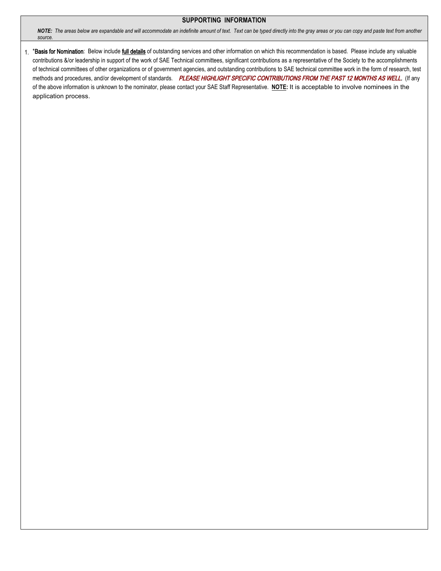#### **SUPPORTING INFORMATION**

*NOTE: The areas below are expandable and will accommodate an indefinite amount of text. Text can be typed directly into the gray areas or you can copy and paste text from another source.*

1. \*Basis for Nomination: Below include full details of outstanding services and other information on which this recommendation is based. Please include any valuable contributions &/or leadership in support of the work of SAE Technical committees, significant contributions as a representative of the Society to the accomplishments of technical committees of other organizations or of government agencies, and outstanding contributions to SAE technical committee work in the form of research, test methods and procedures, and/or development of standards. PLEASE HIGHLIGHT SPECIFIC CONTRIBUTIONS FROM THE PAST 12 MONTHS AS WELL. (If any of the above information is unknown to the nominator, please contact your SAE Staff Representative. **NOTE:** It is acceptable to involve nominees in the application process.